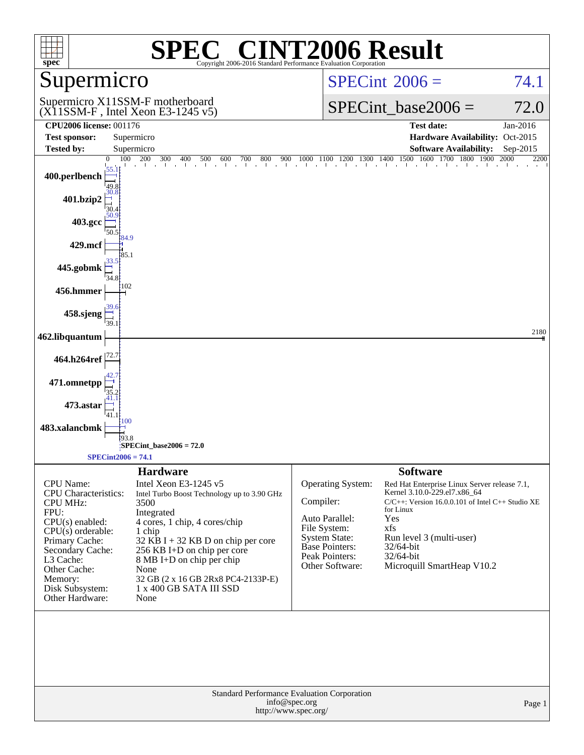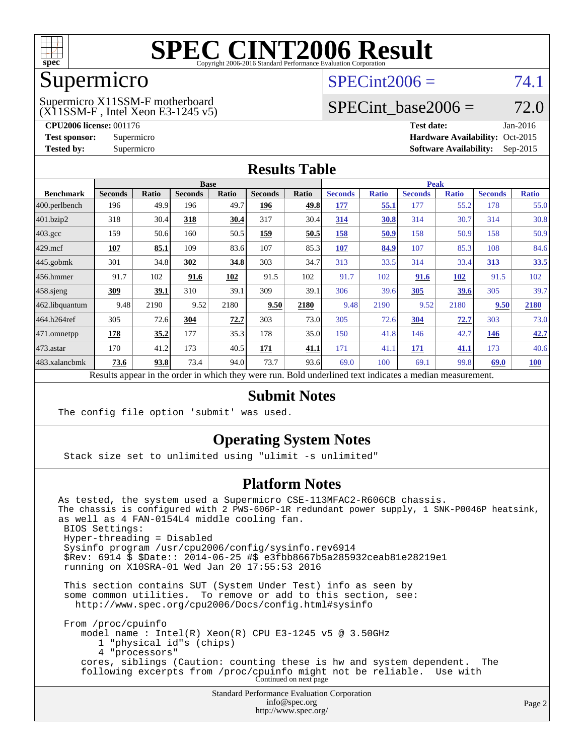

### Supermicro

#### (X11SSM-F , Intel Xeon E3-1245 v5) Supermicro X11SSM-F motherboard

 $SPECint2006 = 74.1$  $SPECint2006 = 74.1$ 

## SPECint base2006 =  $72.0$

**[CPU2006 license:](http://www.spec.org/auto/cpu2006/Docs/result-fields.html#CPU2006license)** 001176 **[Test date:](http://www.spec.org/auto/cpu2006/Docs/result-fields.html#Testdate)** Jan-2016 **[Test sponsor:](http://www.spec.org/auto/cpu2006/Docs/result-fields.html#Testsponsor)** Supermicro Supermicro **[Hardware Availability:](http://www.spec.org/auto/cpu2006/Docs/result-fields.html#HardwareAvailability)** Oct-2015 **[Tested by:](http://www.spec.org/auto/cpu2006/Docs/result-fields.html#Testedby)** Supermicro **Supermicro [Software Availability:](http://www.spec.org/auto/cpu2006/Docs/result-fields.html#SoftwareAvailability)** Sep-2015

### **[Results Table](http://www.spec.org/auto/cpu2006/Docs/result-fields.html#ResultsTable)**

|                                                                                                          | <b>Base</b>    |       |                |       |                | <b>Peak</b> |                |              |                |              |                |              |
|----------------------------------------------------------------------------------------------------------|----------------|-------|----------------|-------|----------------|-------------|----------------|--------------|----------------|--------------|----------------|--------------|
| <b>Benchmark</b>                                                                                         | <b>Seconds</b> | Ratio | <b>Seconds</b> | Ratio | <b>Seconds</b> | Ratio       | <b>Seconds</b> | <b>Ratio</b> | <b>Seconds</b> | <b>Ratio</b> | <b>Seconds</b> | <b>Ratio</b> |
| 400.perlbench                                                                                            | 196            | 49.9  | 196            | 49.7  | 196            | 49.8        | 177            | 55.1         | 177            | 55.2         | 178            | 55.0         |
| 401.bzip2                                                                                                | 318            | 30.4  | 318            | 30.4  | 317            | 30.4        | 314            | 30.8         | 314            | 30.7         | 314            | 30.8         |
| $403.\text{gcc}$                                                                                         | 159            | 50.6  | 160            | 50.5  | 159            | 50.5        | 158            | 50.9         | 158            | 50.9         | 158            | 50.9         |
| $429$ mcf                                                                                                | 107            | 85.1  | 109            | 83.6  | 107            | 85.3        | 107            | 84.9         | 107            | 85.3         | 108            | 84.6         |
| $445$ .gobmk                                                                                             | 301            | 34.8  | 302            | 34.8  | 303            | 34.7        | 313            | 33.5         | 314            | 33.4         | 313            | 33.5         |
| $ 456$ .hmmer                                                                                            | 91.7           | 102   | 91.6           | 102   | 91.5           | 102         | 91.7           | 102          | 91.6           | 102          | 91.5           | 102          |
| $458$ .sjeng                                                                                             | 309            | 39.1  | 310            | 39.1  | 309            | 39.1        | 306            | 39.6         | 305            | 39.6         | 305            | 39.7         |
| 462.libquantum                                                                                           | 9.48           | 2190  | 9.52           | 2180  | 9.50           | 2180        | 9.48           | 2190         | 9.52           | 2180         | 9.50           | 2180         |
| 464.h264ref                                                                                              | 305            | 72.6  | 304            | 72.7  | 303            | 73.0        | 305            | 72.6         | 304            | 72.7         | 303            | 73.0         |
| 471.omnetpp                                                                                              | 178            | 35.2  | 177            | 35.3  | 178            | 35.0        | 150            | 41.8         | 146            | 42.7         | 146            | 42.7         |
| $ 473$ . astar                                                                                           | 170            | 41.2  | 173            | 40.5  | 171            | 41.1        | 171            | 41.1         | 171            | 41.1         | 173            | 40.6         |
| 483.xalancbmk                                                                                            | 73.6           | 93.8  | 73.4           | 94.0  | 73.7           | 93.6        | 69.0           | 100          | 69.1           | 99.8         | 69.0           | <b>100</b>   |
| Results appear in the order in which they were run. Bold underlined text indicates a median measurement. |                |       |                |       |                |             |                |              |                |              |                |              |

**[Submit Notes](http://www.spec.org/auto/cpu2006/Docs/result-fields.html#SubmitNotes)**

The config file option 'submit' was used.

### **[Operating System Notes](http://www.spec.org/auto/cpu2006/Docs/result-fields.html#OperatingSystemNotes)**

Stack size set to unlimited using "ulimit -s unlimited"

#### **[Platform Notes](http://www.spec.org/auto/cpu2006/Docs/result-fields.html#PlatformNotes)**

As tested, the system used a Supermicro CSE-113MFAC2-R606CB chassis. The chassis is configured with 2 PWS-606P-1R redundant power supply, 1 SNK-P0046P heatsink, as well as 4 FAN-0154L4 middle cooling fan. BIOS Settings: Hyper-threading = Disabled Sysinfo program /usr/cpu2006/config/sysinfo.rev6914 \$Rev: 6914 \$ \$Date:: 2014-06-25 #\$ e3fbb8667b5a285932ceab81e28219e1 running on X10SRA-01 Wed Jan 20 17:55:53 2016 This section contains SUT (System Under Test) info as seen by some common utilities. To remove or add to this section, see: <http://www.spec.org/cpu2006/Docs/config.html#sysinfo> From /proc/cpuinfo model name : Intel(R) Xeon(R) CPU E3-1245 v5 @ 3.50GHz 1 "physical id"s (chips) 4 "processors" cores, siblings (Caution: counting these is hw and system dependent. The following excerpts from /proc/cpuinfo might not be reliable. Use with Continued on next page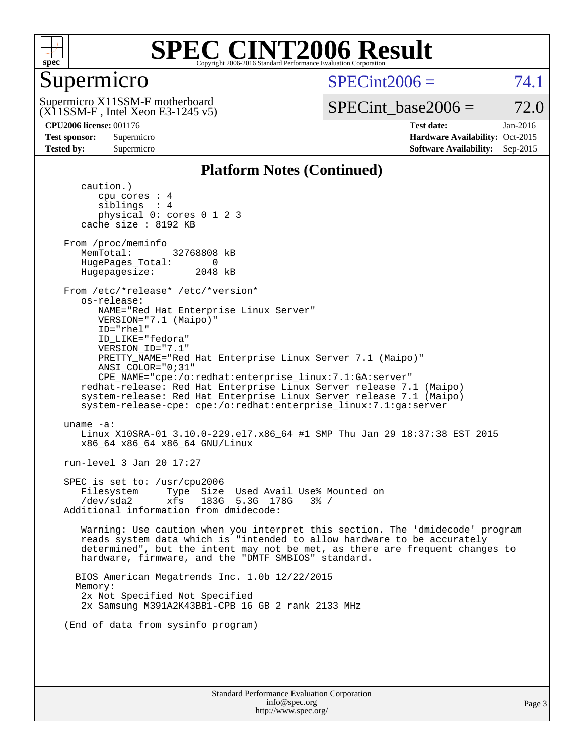

### Supermicro

 $SPECint2006 = 74.1$  $SPECint2006 = 74.1$ 

(X11SSM-F , Intel Xeon E3-1245 v5) Supermicro X11SSM-F motherboard

SPECint base2006 =  $72.0$ 

**[CPU2006 license:](http://www.spec.org/auto/cpu2006/Docs/result-fields.html#CPU2006license)** 001176 **[Test date:](http://www.spec.org/auto/cpu2006/Docs/result-fields.html#Testdate)** Jan-2016 **[Test sponsor:](http://www.spec.org/auto/cpu2006/Docs/result-fields.html#Testsponsor)** Supermicro Supermicro **[Hardware Availability:](http://www.spec.org/auto/cpu2006/Docs/result-fields.html#HardwareAvailability)** Oct-2015 **[Tested by:](http://www.spec.org/auto/cpu2006/Docs/result-fields.html#Testedby)** Supermicro **Supermicro [Software Availability:](http://www.spec.org/auto/cpu2006/Docs/result-fields.html#SoftwareAvailability)** Sep-2015

### **[Platform Notes \(Continued\)](http://www.spec.org/auto/cpu2006/Docs/result-fields.html#PlatformNotes)**

 caution.) cpu cores : 4 siblings : 4 physical 0: cores 0 1 2 3 cache size : 8192 KB From /proc/meminfo MemTotal: 32768808 kB HugePages\_Total: 0<br>Hugepagesize: 2048 kB Hugepagesize: From /etc/\*release\* /etc/\*version\* os-release: NAME="Red Hat Enterprise Linux Server" VERSION="7.1 (Maipo)" ID="rhel" ID\_LIKE="fedora" VERSION\_ID="7.1" PRETTY\_NAME="Red Hat Enterprise Linux Server 7.1 (Maipo)" ANSI\_COLOR="0;31" CPE\_NAME="cpe:/o:redhat:enterprise\_linux:7.1:GA:server" redhat-release: Red Hat Enterprise Linux Server release 7.1 (Maipo) system-release: Red Hat Enterprise Linux Server release 7.1 (Maipo) system-release-cpe: cpe:/o:redhat:enterprise\_linux:7.1:ga:server uname -a: Linux X10SRA-01 3.10.0-229.el7.x86\_64 #1 SMP Thu Jan 29 18:37:38 EST 2015 x86\_64 x86\_64 x86\_64 GNU/Linux run-level 3 Jan 20 17:27 SPEC is set to: /usr/cpu2006 Filesystem Type Size Used Avail Use% Mounted on /dev/sda2 xfs 183G 5.3G 178G 3% / Additional information from dmidecode: Warning: Use caution when you interpret this section. The 'dmidecode' program reads system data which is "intended to allow hardware to be accurately determined", but the intent may not be met, as there are frequent changes to hardware, firmware, and the "DMTF SMBIOS" standard. BIOS American Megatrends Inc. 1.0b 12/22/2015 Memory: 2x Not Specified Not Specified 2x Samsung M391A2K43BB1-CPB 16 GB 2 rank 2133 MHz (End of data from sysinfo program)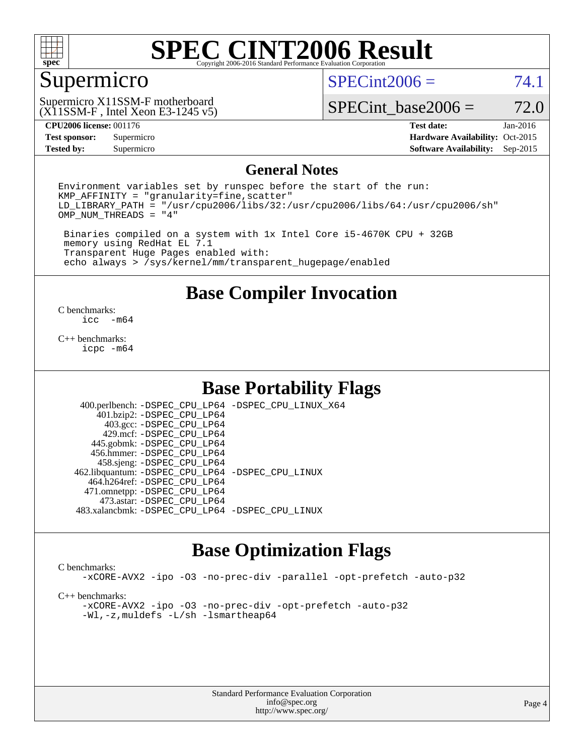

### Supermicro

 $SPECint2006 = 74.1$  $SPECint2006 = 74.1$ 

(X11SSM-F , Intel Xeon E3-1245 v5) Supermicro X11SSM-F motherboard

SPECint base2006 =  $72.0$ 

**[Test sponsor:](http://www.spec.org/auto/cpu2006/Docs/result-fields.html#Testsponsor)** Supermicro Supermicro **[Hardware Availability:](http://www.spec.org/auto/cpu2006/Docs/result-fields.html#HardwareAvailability)** Oct-2015 **[Tested by:](http://www.spec.org/auto/cpu2006/Docs/result-fields.html#Testedby)** Supermicro **Supermicro [Software Availability:](http://www.spec.org/auto/cpu2006/Docs/result-fields.html#SoftwareAvailability)** Sep-2015

**[CPU2006 license:](http://www.spec.org/auto/cpu2006/Docs/result-fields.html#CPU2006license)** 001176 **[Test date:](http://www.spec.org/auto/cpu2006/Docs/result-fields.html#Testdate)** Jan-2016

#### **[General Notes](http://www.spec.org/auto/cpu2006/Docs/result-fields.html#GeneralNotes)**

Environment variables set by runspec before the start of the run:  $KMP$  AFFINITY = "granularity=fine, scatter" LD\_LIBRARY\_PATH = "/usr/cpu2006/libs/32:/usr/cpu2006/libs/64:/usr/cpu2006/sh" OMP\_NUM\_THREADS = "4"

 Binaries compiled on a system with 1x Intel Core i5-4670K CPU + 32GB memory using RedHat EL 7.1 Transparent Huge Pages enabled with: echo always > /sys/kernel/mm/transparent\_hugepage/enabled

**[Base Compiler Invocation](http://www.spec.org/auto/cpu2006/Docs/result-fields.html#BaseCompilerInvocation)**

 $\frac{C \text{ benchmarks:}}{C \text{ C}}$ -m64

[C++ benchmarks:](http://www.spec.org/auto/cpu2006/Docs/result-fields.html#CXXbenchmarks) [icpc -m64](http://www.spec.org/cpu2006/results/res2016q1/cpu2006-20160125-38779.flags.html#user_CXXbase_intel_icpc_64bit_fc66a5337ce925472a5c54ad6a0de310)

### **[Base Portability Flags](http://www.spec.org/auto/cpu2006/Docs/result-fields.html#BasePortabilityFlags)**

 400.perlbench: [-DSPEC\\_CPU\\_LP64](http://www.spec.org/cpu2006/results/res2016q1/cpu2006-20160125-38779.flags.html#b400.perlbench_basePORTABILITY_DSPEC_CPU_LP64) [-DSPEC\\_CPU\\_LINUX\\_X64](http://www.spec.org/cpu2006/results/res2016q1/cpu2006-20160125-38779.flags.html#b400.perlbench_baseCPORTABILITY_DSPEC_CPU_LINUX_X64) 401.bzip2: [-DSPEC\\_CPU\\_LP64](http://www.spec.org/cpu2006/results/res2016q1/cpu2006-20160125-38779.flags.html#suite_basePORTABILITY401_bzip2_DSPEC_CPU_LP64) 403.gcc: [-DSPEC\\_CPU\\_LP64](http://www.spec.org/cpu2006/results/res2016q1/cpu2006-20160125-38779.flags.html#suite_basePORTABILITY403_gcc_DSPEC_CPU_LP64) 429.mcf: [-DSPEC\\_CPU\\_LP64](http://www.spec.org/cpu2006/results/res2016q1/cpu2006-20160125-38779.flags.html#suite_basePORTABILITY429_mcf_DSPEC_CPU_LP64) 445.gobmk: [-DSPEC\\_CPU\\_LP64](http://www.spec.org/cpu2006/results/res2016q1/cpu2006-20160125-38779.flags.html#suite_basePORTABILITY445_gobmk_DSPEC_CPU_LP64) 456.hmmer: [-DSPEC\\_CPU\\_LP64](http://www.spec.org/cpu2006/results/res2016q1/cpu2006-20160125-38779.flags.html#suite_basePORTABILITY456_hmmer_DSPEC_CPU_LP64) 458.sjeng: [-DSPEC\\_CPU\\_LP64](http://www.spec.org/cpu2006/results/res2016q1/cpu2006-20160125-38779.flags.html#suite_basePORTABILITY458_sjeng_DSPEC_CPU_LP64) 462.libquantum: [-DSPEC\\_CPU\\_LP64](http://www.spec.org/cpu2006/results/res2016q1/cpu2006-20160125-38779.flags.html#suite_basePORTABILITY462_libquantum_DSPEC_CPU_LP64) [-DSPEC\\_CPU\\_LINUX](http://www.spec.org/cpu2006/results/res2016q1/cpu2006-20160125-38779.flags.html#b462.libquantum_baseCPORTABILITY_DSPEC_CPU_LINUX) 464.h264ref: [-DSPEC\\_CPU\\_LP64](http://www.spec.org/cpu2006/results/res2016q1/cpu2006-20160125-38779.flags.html#suite_basePORTABILITY464_h264ref_DSPEC_CPU_LP64) 471.omnetpp: [-DSPEC\\_CPU\\_LP64](http://www.spec.org/cpu2006/results/res2016q1/cpu2006-20160125-38779.flags.html#suite_basePORTABILITY471_omnetpp_DSPEC_CPU_LP64) 473.astar: [-DSPEC\\_CPU\\_LP64](http://www.spec.org/cpu2006/results/res2016q1/cpu2006-20160125-38779.flags.html#suite_basePORTABILITY473_astar_DSPEC_CPU_LP64) 483.xalancbmk: [-DSPEC\\_CPU\\_LP64](http://www.spec.org/cpu2006/results/res2016q1/cpu2006-20160125-38779.flags.html#suite_basePORTABILITY483_xalancbmk_DSPEC_CPU_LP64) [-DSPEC\\_CPU\\_LINUX](http://www.spec.org/cpu2006/results/res2016q1/cpu2006-20160125-38779.flags.html#b483.xalancbmk_baseCXXPORTABILITY_DSPEC_CPU_LINUX)

### **[Base Optimization Flags](http://www.spec.org/auto/cpu2006/Docs/result-fields.html#BaseOptimizationFlags)**

#### [C benchmarks](http://www.spec.org/auto/cpu2006/Docs/result-fields.html#Cbenchmarks):

[-xCORE-AVX2](http://www.spec.org/cpu2006/results/res2016q1/cpu2006-20160125-38779.flags.html#user_CCbase_f-xAVX2_5f5fc0cbe2c9f62c816d3e45806c70d7) [-ipo](http://www.spec.org/cpu2006/results/res2016q1/cpu2006-20160125-38779.flags.html#user_CCbase_f-ipo) [-O3](http://www.spec.org/cpu2006/results/res2016q1/cpu2006-20160125-38779.flags.html#user_CCbase_f-O3) [-no-prec-div](http://www.spec.org/cpu2006/results/res2016q1/cpu2006-20160125-38779.flags.html#user_CCbase_f-no-prec-div) [-parallel](http://www.spec.org/cpu2006/results/res2016q1/cpu2006-20160125-38779.flags.html#user_CCbase_f-parallel) [-opt-prefetch](http://www.spec.org/cpu2006/results/res2016q1/cpu2006-20160125-38779.flags.html#user_CCbase_f-opt-prefetch) [-auto-p32](http://www.spec.org/cpu2006/results/res2016q1/cpu2006-20160125-38779.flags.html#user_CCbase_f-auto-p32)

[C++ benchmarks:](http://www.spec.org/auto/cpu2006/Docs/result-fields.html#CXXbenchmarks)

[-xCORE-AVX2](http://www.spec.org/cpu2006/results/res2016q1/cpu2006-20160125-38779.flags.html#user_CXXbase_f-xAVX2_5f5fc0cbe2c9f62c816d3e45806c70d7) [-ipo](http://www.spec.org/cpu2006/results/res2016q1/cpu2006-20160125-38779.flags.html#user_CXXbase_f-ipo) [-O3](http://www.spec.org/cpu2006/results/res2016q1/cpu2006-20160125-38779.flags.html#user_CXXbase_f-O3) [-no-prec-div](http://www.spec.org/cpu2006/results/res2016q1/cpu2006-20160125-38779.flags.html#user_CXXbase_f-no-prec-div) [-opt-prefetch](http://www.spec.org/cpu2006/results/res2016q1/cpu2006-20160125-38779.flags.html#user_CXXbase_f-opt-prefetch) [-auto-p32](http://www.spec.org/cpu2006/results/res2016q1/cpu2006-20160125-38779.flags.html#user_CXXbase_f-auto-p32) [-Wl,-z,muldefs](http://www.spec.org/cpu2006/results/res2016q1/cpu2006-20160125-38779.flags.html#user_CXXbase_link_force_multiple1_74079c344b956b9658436fd1b6dd3a8a) [-L/sh -lsmartheap64](http://www.spec.org/cpu2006/results/res2016q1/cpu2006-20160125-38779.flags.html#user_CXXbase_SmartHeap64_ed4ef857ce90951921efb0d91eb88472)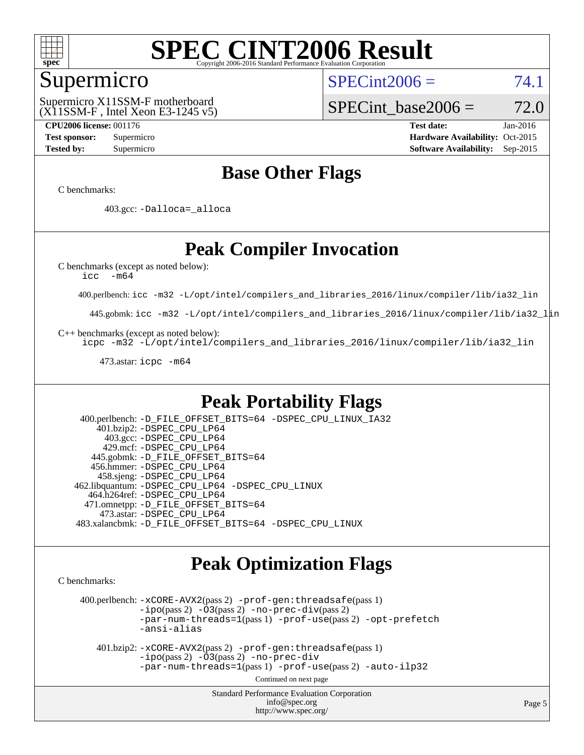

### Supermicro

 $SPECint2006 = 74.1$  $SPECint2006 = 74.1$ 

(X11SSM-F , Intel Xeon E3-1245 v5) Supermicro X11SSM-F motherboard

SPECint base2006 =  $72.0$ 

**[CPU2006 license:](http://www.spec.org/auto/cpu2006/Docs/result-fields.html#CPU2006license)** 001176 **[Test date:](http://www.spec.org/auto/cpu2006/Docs/result-fields.html#Testdate)** Jan-2016 **[Test sponsor:](http://www.spec.org/auto/cpu2006/Docs/result-fields.html#Testsponsor)** Supermicro Supermicro **[Hardware Availability:](http://www.spec.org/auto/cpu2006/Docs/result-fields.html#HardwareAvailability)** Oct-2015 **[Tested by:](http://www.spec.org/auto/cpu2006/Docs/result-fields.html#Testedby)** Supermicro **Supermicro [Software Availability:](http://www.spec.org/auto/cpu2006/Docs/result-fields.html#SoftwareAvailability)** Sep-2015

### **[Base Other Flags](http://www.spec.org/auto/cpu2006/Docs/result-fields.html#BaseOtherFlags)**

[C benchmarks](http://www.spec.org/auto/cpu2006/Docs/result-fields.html#Cbenchmarks):

403.gcc: [-Dalloca=\\_alloca](http://www.spec.org/cpu2006/results/res2016q1/cpu2006-20160125-38779.flags.html#b403.gcc_baseEXTRA_CFLAGS_Dalloca_be3056838c12de2578596ca5467af7f3)

### **[Peak Compiler Invocation](http://www.spec.org/auto/cpu2006/Docs/result-fields.html#PeakCompilerInvocation)**

[C benchmarks \(except as noted below\)](http://www.spec.org/auto/cpu2006/Docs/result-fields.html#Cbenchmarksexceptasnotedbelow):

[icc -m64](http://www.spec.org/cpu2006/results/res2016q1/cpu2006-20160125-38779.flags.html#user_CCpeak_intel_icc_64bit_f346026e86af2a669e726fe758c88044)

400.perlbench: [icc -m32 -L/opt/intel/compilers\\_and\\_libraries\\_2016/linux/compiler/lib/ia32\\_lin](http://www.spec.org/cpu2006/results/res2016q1/cpu2006-20160125-38779.flags.html#user_peakCCLD400_perlbench_intel_icc_e10256ba5924b668798078a321b0cb3f)

445.gobmk: [icc -m32 -L/opt/intel/compilers\\_and\\_libraries\\_2016/linux/compiler/lib/ia32\\_lin](http://www.spec.org/cpu2006/results/res2016q1/cpu2006-20160125-38779.flags.html#user_peakCCLD445_gobmk_intel_icc_e10256ba5924b668798078a321b0cb3f)

[C++ benchmarks \(except as noted below\):](http://www.spec.org/auto/cpu2006/Docs/result-fields.html#CXXbenchmarksexceptasnotedbelow)

[icpc -m32 -L/opt/intel/compilers\\_and\\_libraries\\_2016/linux/compiler/lib/ia32\\_lin](http://www.spec.org/cpu2006/results/res2016q1/cpu2006-20160125-38779.flags.html#user_CXXpeak_intel_icpc_b4f50a394bdb4597aa5879c16bc3f5c5)

473.astar: [icpc -m64](http://www.spec.org/cpu2006/results/res2016q1/cpu2006-20160125-38779.flags.html#user_peakCXXLD473_astar_intel_icpc_64bit_fc66a5337ce925472a5c54ad6a0de310)

### **[Peak Portability Flags](http://www.spec.org/auto/cpu2006/Docs/result-fields.html#PeakPortabilityFlags)**

 400.perlbench: [-D\\_FILE\\_OFFSET\\_BITS=64](http://www.spec.org/cpu2006/results/res2016q1/cpu2006-20160125-38779.flags.html#user_peakPORTABILITY400_perlbench_file_offset_bits_64_438cf9856305ebd76870a2c6dc2689ab) [-DSPEC\\_CPU\\_LINUX\\_IA32](http://www.spec.org/cpu2006/results/res2016q1/cpu2006-20160125-38779.flags.html#b400.perlbench_peakCPORTABILITY_DSPEC_CPU_LINUX_IA32) 401.bzip2: [-DSPEC\\_CPU\\_LP64](http://www.spec.org/cpu2006/results/res2016q1/cpu2006-20160125-38779.flags.html#suite_peakPORTABILITY401_bzip2_DSPEC_CPU_LP64) 403.gcc: [-DSPEC\\_CPU\\_LP64](http://www.spec.org/cpu2006/results/res2016q1/cpu2006-20160125-38779.flags.html#suite_peakPORTABILITY403_gcc_DSPEC_CPU_LP64) 429.mcf: [-DSPEC\\_CPU\\_LP64](http://www.spec.org/cpu2006/results/res2016q1/cpu2006-20160125-38779.flags.html#suite_peakPORTABILITY429_mcf_DSPEC_CPU_LP64) 445.gobmk: [-D\\_FILE\\_OFFSET\\_BITS=64](http://www.spec.org/cpu2006/results/res2016q1/cpu2006-20160125-38779.flags.html#user_peakPORTABILITY445_gobmk_file_offset_bits_64_438cf9856305ebd76870a2c6dc2689ab) 456.hmmer: [-DSPEC\\_CPU\\_LP64](http://www.spec.org/cpu2006/results/res2016q1/cpu2006-20160125-38779.flags.html#suite_peakPORTABILITY456_hmmer_DSPEC_CPU_LP64) 458.sjeng: [-DSPEC\\_CPU\\_LP64](http://www.spec.org/cpu2006/results/res2016q1/cpu2006-20160125-38779.flags.html#suite_peakPORTABILITY458_sjeng_DSPEC_CPU_LP64) 462.libquantum: [-DSPEC\\_CPU\\_LP64](http://www.spec.org/cpu2006/results/res2016q1/cpu2006-20160125-38779.flags.html#suite_peakPORTABILITY462_libquantum_DSPEC_CPU_LP64) [-DSPEC\\_CPU\\_LINUX](http://www.spec.org/cpu2006/results/res2016q1/cpu2006-20160125-38779.flags.html#b462.libquantum_peakCPORTABILITY_DSPEC_CPU_LINUX) 464.h264ref: [-DSPEC\\_CPU\\_LP64](http://www.spec.org/cpu2006/results/res2016q1/cpu2006-20160125-38779.flags.html#suite_peakPORTABILITY464_h264ref_DSPEC_CPU_LP64) 471.omnetpp: [-D\\_FILE\\_OFFSET\\_BITS=64](http://www.spec.org/cpu2006/results/res2016q1/cpu2006-20160125-38779.flags.html#user_peakPORTABILITY471_omnetpp_file_offset_bits_64_438cf9856305ebd76870a2c6dc2689ab) 473.astar: [-DSPEC\\_CPU\\_LP64](http://www.spec.org/cpu2006/results/res2016q1/cpu2006-20160125-38779.flags.html#suite_peakPORTABILITY473_astar_DSPEC_CPU_LP64) 483.xalancbmk: [-D\\_FILE\\_OFFSET\\_BITS=64](http://www.spec.org/cpu2006/results/res2016q1/cpu2006-20160125-38779.flags.html#user_peakPORTABILITY483_xalancbmk_file_offset_bits_64_438cf9856305ebd76870a2c6dc2689ab) [-DSPEC\\_CPU\\_LINUX](http://www.spec.org/cpu2006/results/res2016q1/cpu2006-20160125-38779.flags.html#b483.xalancbmk_peakCXXPORTABILITY_DSPEC_CPU_LINUX)

### **[Peak Optimization Flags](http://www.spec.org/auto/cpu2006/Docs/result-fields.html#PeakOptimizationFlags)**

[C benchmarks](http://www.spec.org/auto/cpu2006/Docs/result-fields.html#Cbenchmarks):

 400.perlbench: [-xCORE-AVX2](http://www.spec.org/cpu2006/results/res2016q1/cpu2006-20160125-38779.flags.html#user_peakPASS2_CFLAGSPASS2_LDCFLAGS400_perlbench_f-xAVX2_5f5fc0cbe2c9f62c816d3e45806c70d7)(pass 2) [-prof-gen:threadsafe](http://www.spec.org/cpu2006/results/res2016q1/cpu2006-20160125-38779.flags.html#user_peakPASS1_CFLAGSPASS1_LDCFLAGS400_perlbench_prof_gen_21a26eb79f378b550acd7bec9fe4467a)(pass 1)  $-i\text{po}(pass 2) -\tilde{O}3(pass 2)$  [-no-prec-div](http://www.spec.org/cpu2006/results/res2016q1/cpu2006-20160125-38779.flags.html#user_peakPASS2_CFLAGSPASS2_LDCFLAGS400_perlbench_f-no-prec-div)(pass 2) [-par-num-threads=1](http://www.spec.org/cpu2006/results/res2016q1/cpu2006-20160125-38779.flags.html#user_peakPASS1_CFLAGSPASS1_LDCFLAGS400_perlbench_par_num_threads_786a6ff141b4e9e90432e998842df6c2)(pass 1) [-prof-use](http://www.spec.org/cpu2006/results/res2016q1/cpu2006-20160125-38779.flags.html#user_peakPASS2_CFLAGSPASS2_LDCFLAGS400_perlbench_prof_use_bccf7792157ff70d64e32fe3e1250b55)(pass 2) [-opt-prefetch](http://www.spec.org/cpu2006/results/res2016q1/cpu2006-20160125-38779.flags.html#user_peakCOPTIMIZE400_perlbench_f-opt-prefetch) [-ansi-alias](http://www.spec.org/cpu2006/results/res2016q1/cpu2006-20160125-38779.flags.html#user_peakCOPTIMIZE400_perlbench_f-ansi-alias)

 401.bzip2: [-xCORE-AVX2](http://www.spec.org/cpu2006/results/res2016q1/cpu2006-20160125-38779.flags.html#user_peakPASS2_CFLAGSPASS2_LDCFLAGS401_bzip2_f-xAVX2_5f5fc0cbe2c9f62c816d3e45806c70d7)(pass 2) [-prof-gen:threadsafe](http://www.spec.org/cpu2006/results/res2016q1/cpu2006-20160125-38779.flags.html#user_peakPASS1_CFLAGSPASS1_LDCFLAGS401_bzip2_prof_gen_21a26eb79f378b550acd7bec9fe4467a)(pass 1)  $-i\text{po}(pass 2) -\overline{O}3(pass 2)$  [-no-prec-div](http://www.spec.org/cpu2006/results/res2016q1/cpu2006-20160125-38779.flags.html#user_peakCOPTIMIZEPASS2_CFLAGSPASS2_LDCFLAGS401_bzip2_f-no-prec-div) [-par-num-threads=1](http://www.spec.org/cpu2006/results/res2016q1/cpu2006-20160125-38779.flags.html#user_peakPASS1_CFLAGSPASS1_LDCFLAGS401_bzip2_par_num_threads_786a6ff141b4e9e90432e998842df6c2)(pass 1) [-prof-use](http://www.spec.org/cpu2006/results/res2016q1/cpu2006-20160125-38779.flags.html#user_peakPASS2_CFLAGSPASS2_LDCFLAGS401_bzip2_prof_use_bccf7792157ff70d64e32fe3e1250b55)(pass 2) [-auto-ilp32](http://www.spec.org/cpu2006/results/res2016q1/cpu2006-20160125-38779.flags.html#user_peakCOPTIMIZE401_bzip2_f-auto-ilp32)

Continued on next page

Standard Performance Evaluation Corporation [info@spec.org](mailto:info@spec.org) <http://www.spec.org/>

Page 5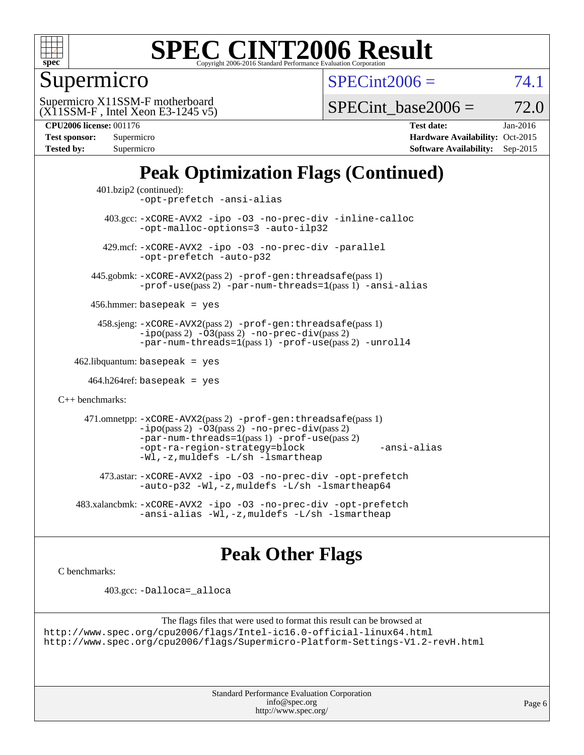

### Supermicro

 $SPECint2006 = 74.1$  $SPECint2006 = 74.1$ 

(X11SSM-F , Intel Xeon E3-1245 v5) Supermicro X11SSM-F motherboard

SPECint base2006 =  $72.0$ 

**[CPU2006 license:](http://www.spec.org/auto/cpu2006/Docs/result-fields.html#CPU2006license)** 001176 **[Test date:](http://www.spec.org/auto/cpu2006/Docs/result-fields.html#Testdate)** Jan-2016

| Test sponsor:     | Supermicro |
|-------------------|------------|
| <b>Tested by:</b> | Supermicro |

**[Hardware Availability:](http://www.spec.org/auto/cpu2006/Docs/result-fields.html#HardwareAvailability)** Oct-2015 **[Software Availability:](http://www.spec.org/auto/cpu2006/Docs/result-fields.html#SoftwareAvailability)** Sep-2015

### **[Peak Optimization Flags \(Continued\)](http://www.spec.org/auto/cpu2006/Docs/result-fields.html#PeakOptimizationFlags)**

```
 401.bzip2 (continued):
                -opt-prefetch -ansi-alias
          403.gcc: -xCORE-AVX2 -ipo -O3 -no-prec-div -inline-calloc
                -opt-malloc-options=3 -auto-ilp32
         429.mcf: -xCORE-AVX2 -ipo -O3 -no-prec-div -parallel
                -opt-prefetch -auto-p32
       445.gobmk: -xCORE-AVX2(pass 2) -prof-gen:threadsafe(pass 1)
                -prof-use(pass 2) -par-num-threads=1(pass 1) -ansi-alias
       456.hmmer: basepeak = yes
        458.sjeng: -xCORE-AVX2(pass 2) -prof-gen:threadsafe(pass 1)
                -i\text{po}(pass 2) -\tilde{O}3(pass 2)-no-prec-div(pass 2)
                -par-num-threads=1(pass 1) -prof-use(pass 2) -unroll4
   462.libquantum: basepeak = yes
     464.h264ref: basepeak = yes
C++ benchmarks: 
      471.omnetpp: -xCORE-AVX2(pass 2) -prof-gen:threadsafe(pass 1)
                -i\text{po}(pass 2) -\overline{O}3(pass 2) -no-\overline{prec}\-div(pass 2)-par-num-threads=1(pass 1) -prof-use(pass 2)
                -opt-ra-region-strategy=block -ansi-alias
                -Wl,-z,muldefs -L/sh -lsmartheap
         473.astar: -xCORE-AVX2 -ipo -O3 -no-prec-div -opt-prefetch
                -auto-p32 -Wl,-z,muldefs -L/sh -lsmartheap64
    483.xalancbmk: -xCORE-AVX2 -ipo -O3 -no-prec-div -opt-prefetch
                -ansi-alias -Wl,-z,muldefs -L/sh -lsmartheap
```
### **[Peak Other Flags](http://www.spec.org/auto/cpu2006/Docs/result-fields.html#PeakOtherFlags)**

[C benchmarks](http://www.spec.org/auto/cpu2006/Docs/result-fields.html#Cbenchmarks):

403.gcc: [-Dalloca=\\_alloca](http://www.spec.org/cpu2006/results/res2016q1/cpu2006-20160125-38779.flags.html#b403.gcc_peakEXTRA_CFLAGS_Dalloca_be3056838c12de2578596ca5467af7f3)

```
The flags files that were used to format this result can be browsed at
http://www.spec.org/cpu2006/flags/Intel-ic16.0-official-linux64.html
http://www.spec.org/cpu2006/flags/Supermicro-Platform-Settings-V1.2-revH.html
```